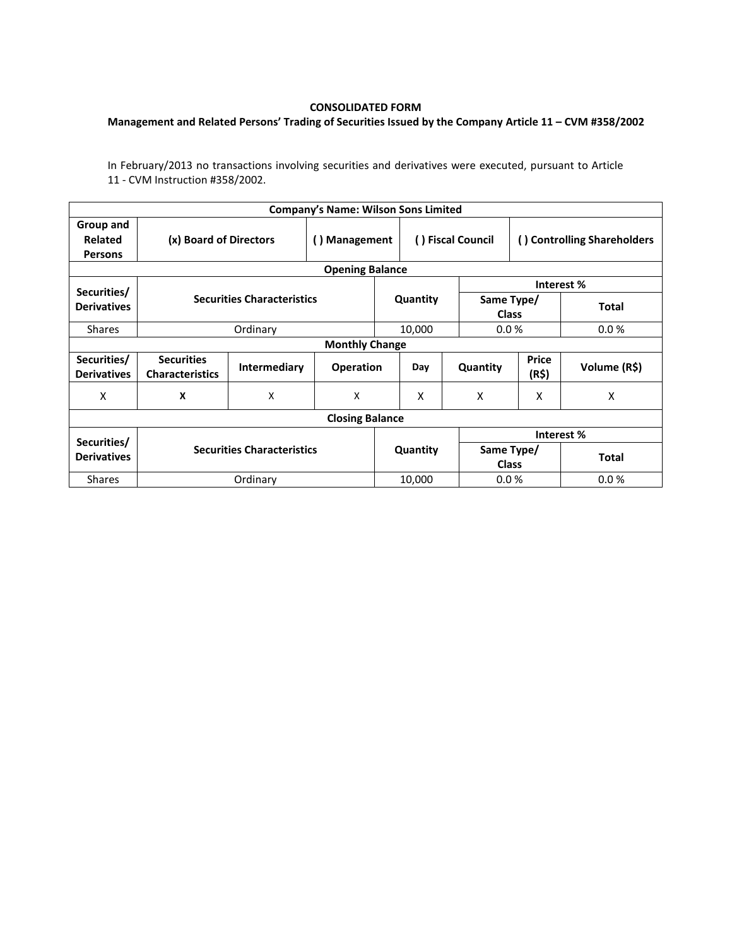## **CONSOLIDATED FORM**

## **Management and Related Persons' Trading of Securities Issued by the Company Article 11 – CVM #358/2002**

In February/2013 no transactions involving securities and derivatives were executed, pursuant to Article 11 - CVM Instruction #358/2002.

|                                        |                                             |                     | <b>Company's Name: Wilson Sons Limited</b> |                   |          |                             |                            |              |  |  |  |
|----------------------------------------|---------------------------------------------|---------------------|--------------------------------------------|-------------------|----------|-----------------------------|----------------------------|--------------|--|--|--|
| Group and<br>Related<br><b>Persons</b> | (x) Board of Directors                      | () Management       |                                            | () Fiscal Council |          | () Controlling Shareholders |                            |              |  |  |  |
| <b>Opening Balance</b>                 |                                             |                     |                                            |                   |          |                             |                            |              |  |  |  |
| Securities/                            | <b>Securities Characteristics</b>           |                     |                                            |                   |          |                             | Interest %                 |              |  |  |  |
| <b>Derivatives</b>                     |                                             |                     |                                            |                   | Quantity |                             | Same Type/<br><b>Class</b> | <b>Total</b> |  |  |  |
| <b>Shares</b>                          |                                             | Ordinary            |                                            |                   | 10,000   |                             | 0.0%                       | 0.0%         |  |  |  |
| <b>Monthly Change</b>                  |                                             |                     |                                            |                   |          |                             |                            |              |  |  |  |
| Securities/<br><b>Derivatives</b>      | <b>Securities</b><br><b>Characteristics</b> | <b>Intermediary</b> | <b>Operation</b>                           |                   | Day      | Quantity                    | Price<br>(R\$)             | Volume (R\$) |  |  |  |
| X                                      | X                                           | X                   | X                                          |                   | X        | X                           | X                          | X            |  |  |  |
| <b>Closing Balance</b>                 |                                             |                     |                                            |                   |          |                             |                            |              |  |  |  |
|                                        |                                             |                     |                                            |                   |          | Interest %                  |                            |              |  |  |  |
| Securities/<br><b>Derivatives</b>      | <b>Securities Characteristics</b>           |                     |                                            | Quantity          |          | Same Type/                  | <b>Class</b>               | <b>Total</b> |  |  |  |
| <b>Shares</b>                          | Ordinary                                    |                     |                                            | 10,000            |          |                             | 0.0%                       | 0.0%         |  |  |  |